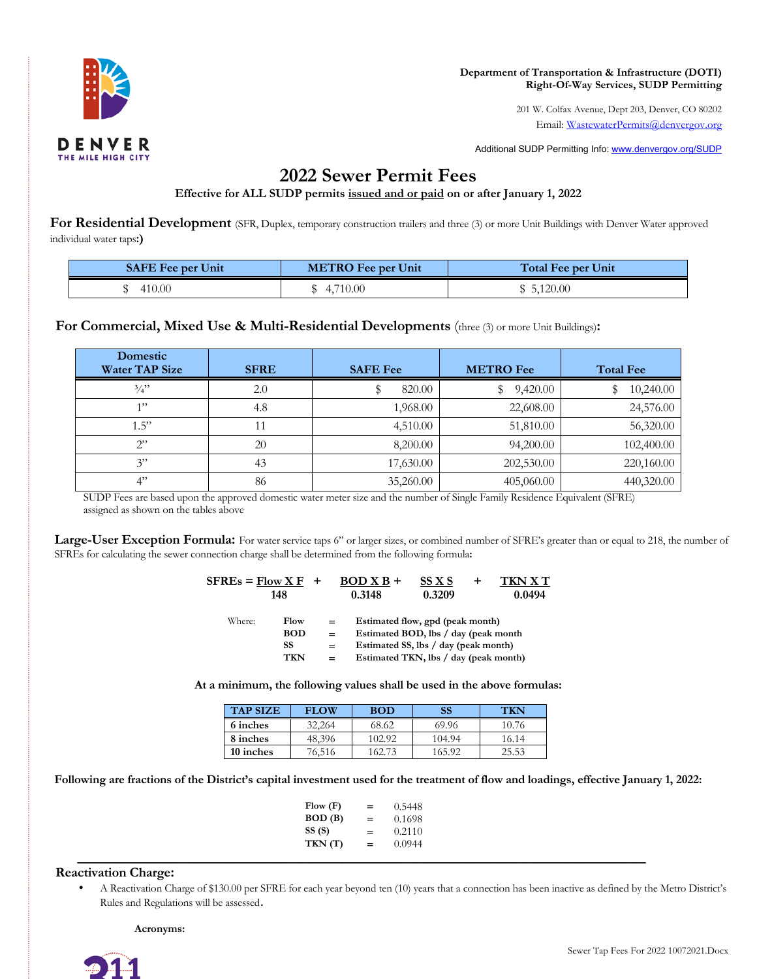

 201 W. Colfax Avenue, Dept 203, Denver, CO 80202 Email: [WastewaterPermits@denvergov.org](mailto:WastewaterPermits@denvergov.org)

Additional SUDP Permitting Info: <www.denvergov.org/SUDP>

## **2022 Sewer Permit Fees**

**Effective for ALL SUDP permits issued and or paid on or after January 1, 2022** 

For Residential Development (SFR, Duplex, temporary construction trailers and three (3) or more Unit Buildings with Denver Water approved individual water taps**:)** 

| <b>SAFE Fee per Unit</b> | <b>METRO</b> Fee per Unit | <b>Total Fee per Unit</b> |
|--------------------------|---------------------------|---------------------------|
| 410.00                   | \$4,710.00                | \$5,120.00                |

 **For Commercial, Mixed Use & Multi-Residential Developments** (three (3) or more Unit Buildings)**:** 

| <b>Domestic</b><br><b>Water TAP Size</b> | <b>SFRE</b> | <b>SAFE Fee</b> | <b>METRO</b> Fee | <b>Total Fee</b> |
|------------------------------------------|-------------|-----------------|------------------|------------------|
| 3/4"                                     | 2.0         | 820.00          | 9,420.00<br>Ş    | 10,240.00        |
| 1"                                       | 4.8         | 1,968.00        | 22,608.00        | 24,576.00        |
| 1.5"                                     | 11          | 4,510.00        | 51,810.00        | 56,320.00        |
| 2                                        | 20          | 8,200.00        | 94,200.00        | 102,400.00       |
| 3"                                       | 43          | 17,630.00       | 202,530.00       | 220,160.00       |
| 4"                                       | 86          | 35,260.00       | 405,060.00       | 440,320.00       |

 SUDP Fees are based upon the approved domestic water meter size and the number of Single Family Residence Equivalent (SFRE) assigned as shown on the tables above

Large-User Exception Formula: For water service taps 6" or larger sizes, or combined number of SFRE's greater than or equal to 218, the number of SFREs for calculating the sewer connection charge shall be determined from the following formula**:** 

| $SFRES = Flow X F$ |            |     | $BOD X B +$ | SS X S                                | <b>TKN X T</b> |
|--------------------|------------|-----|-------------|---------------------------------------|----------------|
|                    | 148        |     | 0.3148      | 0.3209                                | 0.0494         |
| Where:             | Flow       | $=$ |             | Estimated flow, gpd (peak month)      |                |
|                    | <b>BOD</b> |     |             | Estimated BOD, lbs / day (peak month  |                |
|                    | SS         | $=$ |             | Estimated SS, lbs / day (peak month)  |                |
|                    | <b>TKN</b> |     |             | Estimated TKN, lbs / day (peak month) |                |

 **At a minimum, the following values shall be used in the above formulas:** 

| <b>TAP SIZE</b> | <b>FLOW</b> | <b>BOD</b> | SS     | TKN   |
|-----------------|-------------|------------|--------|-------|
| 6 inches        | 32.264      | 68.62      | 69.96  | 10.76 |
| 8 inches        | 48,396      | 102.92     | 104.94 | 16.14 |
| 10 inches       | 76,516      | 162.73     | 165.92 | 25.53 |

 **Following are fractions of the District's capital investment used for the treatment of flow and loadings, effective January 1, 2022:** 

| Flow(F) | $=$ | 0.5448 |
|---------|-----|--------|
| BOD (B) | $=$ | 0.1698 |
| SS (S)  | $=$ | 0.2110 |
| TKN (T) | $=$ | 0.0944 |

**\_\_\_\_\_\_\_\_\_\_\_\_\_\_\_\_\_\_\_\_\_\_\_\_\_\_\_\_\_\_\_\_\_\_\_\_\_\_\_\_\_\_\_\_\_\_\_\_\_\_\_\_\_\_\_\_\_\_\_\_\_\_\_\_\_\_\_\_\_\_\_\_\_** 

## **Reactivation Charge:**

 • A Reactivation Charge of \$130.00 per SFRE for each year beyond ten (10) years that a connection has been inactive as defined by the Metro District's Rules and Regulations will be assessed.

**Acronyms:**